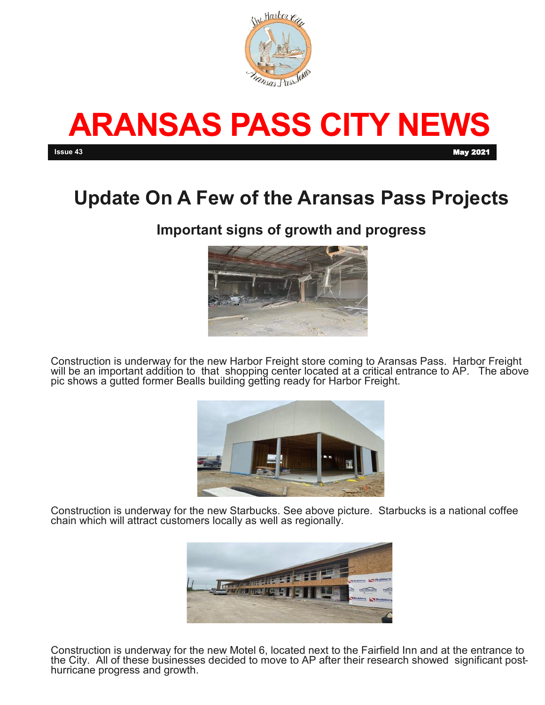

# **ARANSAS PASS CITY NEWS Issue 43** May 2021

# **Update On A Few of the Aransas Pass Projects**

### **Important signs of growth and progress**



Construction is underway for the new Harbor Freight store coming to Aransas Pass. Harbor Freight will be an important addition to that shopping center located at a critical entrance to AP. The above pic shows a gutted former Bealls building getting ready for Harbor Freight.



Construction is underway for the new Starbucks. See above picture. Starbucks is a national coffee chain which will attract customers locally as well as regionally.



Construction is underway for the new Motel 6, located next to the Fairfield Inn and at the entrance to the City. All of these businesses decided to move to AP after their research showed significant posthurricane progress and growth.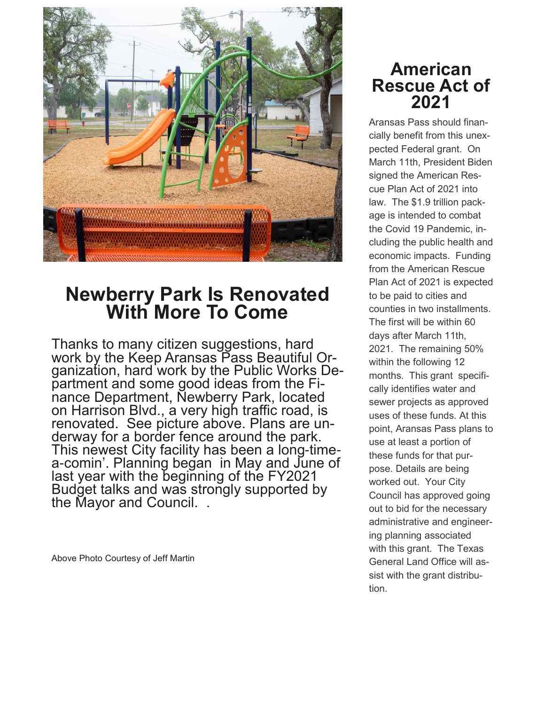

## **Newberry Park Is Renovated With More To Come**

Thanks to many citizen suggestions, hard work by the Keep Aransas Pass Beautiful Organization, hard work by the Public Works Department and some good ideas from the Finance Department, Newberry Park, located on Harrison Blvd., a very high traffic road, is renovated. See picture above. Plans are underway for a border fence around the park. This newest City facility has been a long-timea-comin'. Planning began in May and June of last year with the beginning of the FY2021 Budget talks and was strongly supported by the Mayor and Council. .

Above Photo Courtesy of Jeff Martin

### **American Rescue Act of 2021**

Aransas Pass should financially benefit from this unexpected Federal grant. On March 11th, President Biden signed the American Rescue Plan Act of 2021 into law. The \$1.9 trillion package is intended to combat the Covid 19 Pandemic, including the public health and economic impacts. Funding from the American Rescue Plan Act of 2021 is expected to be paid to cities and counties in two installments. The first will be within 60 days after March 11th, 2021. The remaining 50% within the following 12 months. This grant specifically identifies water and sewer projects as approved uses of these funds. At this point, Aransas Pass plans to use at least a portion of these funds for that purpose. Details are being worked out. Your City Council has approved going out to bid for the necessary administrative and engineering planning associated with this grant. The Texas General Land Office will assist with the grant distribution.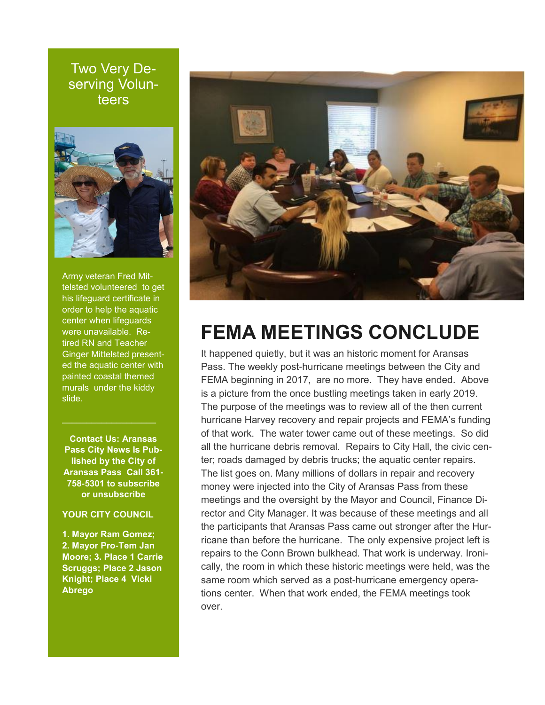Two Very Deserving Volunteers



Army veteran Fred Mittelsted volunteered to get his lifeguard certificate in order to help the aquatic center when lifeguards were unavailable. Retired RN and Teacher Ginger Mittelsted presented the aquatic center with painted coastal themed murals under the kiddy slide.

**Contact Us: Aransas Pass City News Is Published by the City of Aransas Pass Call 361- 758-5301 to subscribe or unsubscribe**

#### **YOUR CITY COUNCIL**

**1. Mayor Ram Gomez; 2. Mayor Pro-Tem Jan Moore; 3. Place 1 Carrie Scruggs; Place 2 Jason Knight; Place 4 Vicki Abrego**



## **FEMA MEETINGS CONCLUDE**

It happened quietly, but it was an historic moment for Aransas Pass. The weekly post-hurricane meetings between the City and FEMA beginning in 2017, are no more. They have ended. Above is a picture from the once bustling meetings taken in early 2019. The purpose of the meetings was to review all of the then current hurricane Harvey recovery and repair projects and FEMA's funding of that work. The water tower came out of these meetings. So did all the hurricane debris removal. Repairs to City Hall, the civic center; roads damaged by debris trucks; the aquatic center repairs. The list goes on. Many millions of dollars in repair and recovery money were injected into the City of Aransas Pass from these meetings and the oversight by the Mayor and Council, Finance Director and City Manager. It was because of these meetings and all the participants that Aransas Pass came out stronger after the Hurricane than before the hurricane. The only expensive project left is repairs to the Conn Brown bulkhead. That work is underway. Ironically, the room in which these historic meetings were held, was the same room which served as a post-hurricane emergency operations center. When that work ended, the FEMA meetings took over.